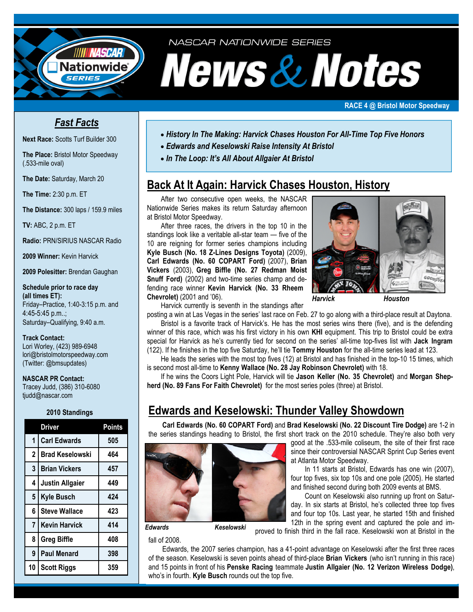

NASCAR NATIONWIDE SERIES

# News & Notes

#### **RACE 4 @ Bristol Motor Speedway**

## *Fast Facts*

**Next Race:** Scotts Turf Builder 300

**The Place:** Bristol Motor Speedway (.533-mile oval)

**The Date:** Saturday, March 20

**The Time:** 2:30 p.m. ET

**The Distance:** 300 laps / 159.9 miles

**TV:** ABC, 2 p.m. ET

**Radio:** PRN/SIRIUS NASCAR Radio

**2009 Winner:** Kevin Harvick

**2009 Polesitter:** Brendan Gaughan

### **Schedule prior to race day (all times ET):**  Friday–Practice, 1:40-3:15 p.m. and

4:45-5:45 p.m..; Saturday–Qualifying, 9:40 a.m.

## **Track Contact:**

Lori Worley, (423) 989-6948 lori@bristolmotorspeedway.com (Twitter: @bmsupdates)

## **NASCAR PR Contact:**

Tracey Judd, (386) 310-6080 tjudd@nascar.com

## **2010 Standings**

|                | <b>Driver</b>          | <b>Points</b> |
|----------------|------------------------|---------------|
| $\overline{1}$ | <b>Carl Edwards</b>    | 505           |
| $\overline{2}$ | <b>Brad Keselowski</b> | 464           |
| 3              | <b>Brian Vickers</b>   | 457           |
| 4              | <b>Justin Allgaier</b> | 449           |
| 5              | <b>Kyle Busch</b>      | 424           |
| 6              | <b>Steve Wallace</b>   | 423           |
| $\overline{7}$ | <b>Kevin Harvick</b>   | 414           |
| 8              | <b>Greg Biffle</b>     | 408           |
| 9              | <b>Paul Menard</b>     | 398           |
| 10             | <b>Scott Riggs</b>     | 359           |

- *History In The Making: Harvick Chases Houston For All-Time Top Five Honors*
- • *Edwards and Keselowski Raise Intensity At Bristol*
- • *In The Loop: It's All About Allgaier At Bristol*

# **Back At It Again: Harvick Chases Houston, History**

 After two consecutive open weeks, the NASCAR Nationwide Series makes its return Saturday afternoon at Bristol Motor Speedway.

 After three races, the drivers in the top 10 in the standings look like a veritable all-star team — five of the 10 are reigning for former series champions including **Kyle Busch (No. 18 Z-Lines Designs Toyota)** (2009), **Carl Edwards (No. 60 COPART Ford)** (2007), **Brian Vickers** (2003), **Greg Biffle (No. 27 Redman Moist Snuff Ford)** (2002) and two-time series champ and defending race winner **Kevin Harvick (No. 33 Rheem Chevrolet)** (2001 and '06).



 *Harvick Houston* 

Harvick currently is seventh in the standings after

posting a win at Las Vegas in the series' last race on Feb. 27 to go along with a third-place result at Daytona. Bristol is a favorite track of Harvick's. He has the most series wins there (five), and is the defending winner of this race, which was his first victory in his own **KHI** equipment. This trip to Bristol could be extra special for Harvick as he's currently tied for second on the series' all-time top-fives list with **Jack Ingram** 

(122). If he finishes in the top five Saturday, he'll tie **Tommy Houston** for the all-time series lead at 123.

 He leads the series with the most top fives (12) at Bristol and has finished in the top-10 15 times, which is second most all-time to **Kenny Wallace (No. 28 Jay Robinson Chevrolet)** with 18.

 If he wins the Coors Light Pole, Harvick will tie **Jason Keller (No. 35 Chevrolet)** and **Morgan Shepherd (No. 89 Fans For Faith Chevrolet)** for the most series poles (three) at Bristol.

# **Edwards and Keselowski: Thunder Valley Showdown**

**Carl Edwards (No. 60 COPART Ford)** and **Brad Keselowski (No. 22 Discount Tire Dodge)** are 1-2 in the series standings heading to Bristol, the first short track on the 2010 schedule. They're also both very



 *Edwards Keselowski* 

fall of 2008.

good at the .533-mile coliseum, the site of their first race since their controversial NASCAR Sprint Cup Series event at Atlanta Motor Speedway.

In 11 starts at Bristol, Edwards has one win (2007), four top fives, six top 10s and one pole (2005). He started and finished second during both 2009 events at BMS.

 Count on Keselowski also running up front on Saturday. In six starts at Bristol, he's collected three top fives and four top 10s. Last year, he started 15th and finished 12th in the spring event and captured the pole and im-

proved to finish third in the fall race. Keselowski won at Bristol in the

 Edwards, the 2007 series champion, has a 41-point advantage on Keselowski after the first three races of the season. Keselowski is seven points ahead of third-place **Brian Vickers** (who isn't running in this race) and 15 points in front of his **Penske Racing** teammate **Justin Allgaier (No. 12 Verizon Wireless Dodge)**, who's in fourth. **Kyle Busch** rounds out the top five.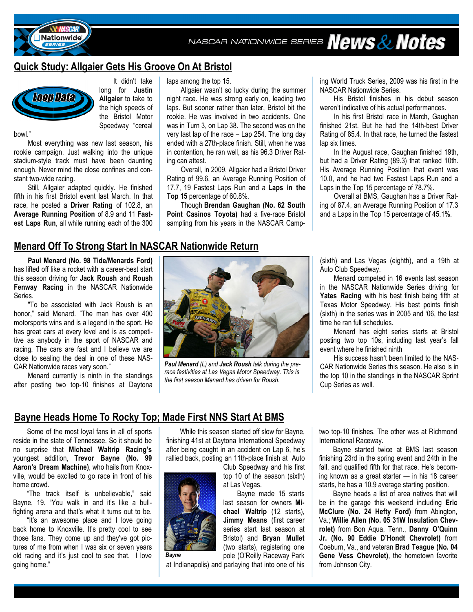NASCAR NATIONWIDE SERIES News & Notes





**Nationwide** 

 It didn't take long for **Justin Allgaier** to take to the high speeds of the Bristol Motor Speedway "cereal

bowl."

 Most everything was new last season, his rookie campaign. Just walking into the unique stadium-style track must have been daunting enough. Never mind the close confines and constant two-wide racing.

 Still, Allgaier adapted quickly. He finished fifth in his first Bristol event last March. In that race, he posted a **Driver Rating** of 102.8, an **Average Running Position** of 8.9 and 11 **Fastest Laps Run**, all while running each of the 300

laps among the top 15.

 Allgaier wasn't so lucky during the summer night race. He was strong early on, leading two laps. But sooner rather than later, Bristol bit the rookie. He was involved in two accidents. One was in Turn 3, on Lap 38. The second was on the very last lap of the race – Lap 254. The long day ended with a 27th-place finish. Still, when he was in contention, he ran well, as his 96.3 Driver Rating can attest.

 Overall, in 2009, Allgaier had a Bristol Driver Rating of 99.6, an Average Running Position of 17.7, 19 Fastest Laps Run and a **Laps in the Top 15** percentage of 60.8%.

 Though **Brendan Gaughan (No. 62 South Point Casinos Toyota)** had a five-race Bristol sampling from his years in the NASCAR Camping World Truck Series, 2009 was his first in the NASCAR Nationwide Series.

 His Bristol finishes in his debut season weren't indicative of his actual performances.

 In his first Bristol race in March, Gaughan finished 21st. But he had the 14th-best Driver Rating of 85.4. In that race, he turned the fastest lap six times.

 In the August race, Gaughan finished 19th, but had a Driver Rating (89.3) that ranked 10th. His Average Running Position that event was 10.0, and he had two Fastest Laps Run and a Laps in the Top 15 percentage of 78.7%.

 Overall at BMS, Gaughan has a Driver Rating of 87.4, an Average Running Position of 17.3 and a Laps in the Top 15 percentage of 45.1%.

## **Menard Off To Strong Start In NASCAR Nationwide Return**

 **Paul Menard (No. 98 Tide/Menards Ford)** has lifted off like a rocket with a career-best start this season driving for **Jack Roush** and **Roush Fenway Racing** in the NASCAR Nationwide Series.

 "To be associated with Jack Roush is an honor," said Menard. "The man has over 400 motorsports wins and is a legend in the sport. He has great cars at every level and is as competitive as anybody in the sport of NASCAR and racing. The cars are fast and I believe we are close to sealing the deal in one of these NAS-CAR Nationwide races very soon."

 Menard currently is ninth in the standings after posting two top-10 finishes at Daytona



*Paul Menard (L) and Jack Roush talk during the prerace festivities at Las Vegas Motor Speedway. This is the first season Menard has driven for Roush.* 

(sixth) and Las Vegas (eighth), and a 19th at Auto Club Speedway.

 Menard competed in 16 events last season in the NASCAR Nationwide Series driving for **Yates Racing** with his best finish being fifth at Texas Motor Speedway. His best points finish (sixth) in the series was in 2005 and '06, the last time he ran full schedules.

Menard has eight series starts at Bristol posting two top 10s, including last year's fall event where he finished ninth

 His success hasn't been limited to the NAS-CAR Nationwide Series this season. He also is in the top 10 in the standings in the NASCAR Sprint Cup Series as well.

## **Bayne Heads Home To Rocky Top; Made First NNS Start At BMS**

*Bayne*

 Some of the most loyal fans in all of sports reside in the state of Tennessee. So it should be no surprise that **Michael Waltrip Racing's**  youngest addition, **Trevor Bayne (No. 99 Aaron's Dream Machine)**, who hails from Knoxville, would be excited to go race in front of his home crowd.

"The track itself is unbelievable," said Bayne, 19. "You walk in and it's like a bullfighting arena and that's what it turns out to be.

 "It's an awesome place and I love going back home to Knoxville. It's pretty cool to see those fans. They come up and they've got pictures of me from when I was six or seven years old racing and it's just cool to see that. I love going home."

 While this season started off slow for Bayne, finishing 41st at Daytona International Speedway after being caught in an accident on Lap 6, he's rallied back, posting an 11th-place finish at Auto

Club Speedway and his first top 10 of the season (sixth) at Las Vegas.

 Bayne made 15 starts last season for owners **Michael Waltrip** (12 starts), **Jimmy Means** (first career series start last season at Bristol) and **Bryan Mullet**  (two starts), registering one pole (O'Reilly Raceway Park

at Indianapolis) and parlaying that into one of his

two top-10 finishes. The other was at Richmond International Raceway.

 Bayne started twice at BMS last season finishing 23rd in the spring event and 24th in the fall, and qualified fifth for that race. He's becoming known as a great starter — in his 18 career starts, he has a 10.9 average starting position.

Bayne heads a list of area natives that will be in the garage this weekend including **Eric McClure (No. 24 Hefty Ford)** from Abington, Va.; **Willie Allen (No. 05 31W Insulation Chevrolet)** from Bon Aqua, Tenn., **Danny O'Quinn Jr. (No. 90 Eddie D'Hondt Chevrolet)** from Coeburn, Va., and veteran **Brad Teague (No. 04 Gene Vess Chevrolet)**, the hometown favorite from Johnson City.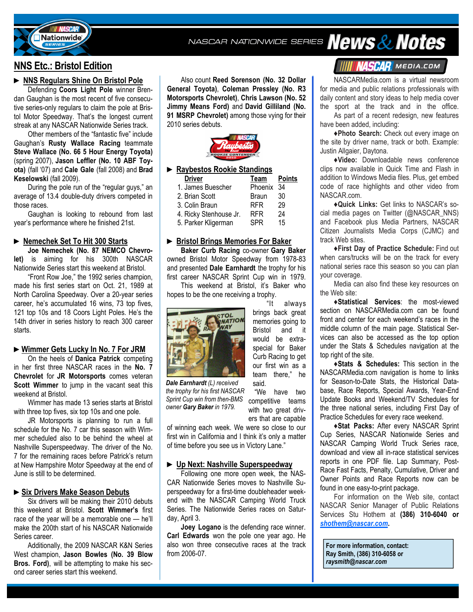

NASCAR NATIONWIDE SERIES News & Notes

## **NNS Etc.: Bristol Edition**

## **► NNS Regulars Shine On Bristol Pole**

Defending **Coors Light Pole** winner Brendan Gaughan is the most recent of five consecutive series-only regulars to claim the pole at Bristol Motor Speedway. That's the longest current streak at any NASCAR Nationwide Series track.

 Other members of the "fantastic five" include Gaughan's **Rusty Wallace Racing** teammate **Steve Wallace (No. 66 5 Hour Energy Toyota)**  (spring 2007), **Jason Leffler (No. 10 ABF Toyota)** (fall '07) and **Cale Gale** (fall 2008) and **Brad Keselowski** (fall 2009).

 During the pole run of the "regular guys," an average of 13.4 double-duty drivers competed in those races.

 Gaughan is looking to rebound from last year's performance where he finished 21st.

## **► Nemechek Set To Hit 300 Starts**

**Joe Nemechek (No. 87 NEMCO Chevrolet)** is aiming for his 300th NASCAR Nationwide Series start this weekend at Bristol.

 "Front Row Joe," the 1992 series champion, made his first series start on Oct. 21, 1989 at North Carolina Speedway. Over a 20-year series career, he's accumulated 16 wins, 73 top fives, 121 top 10s and 18 Coors Light Poles. He's the 14th driver in series history to reach 300 career starts.

#### **►Wimmer Gets Lucky In No. 7 For JRM**

On the heels of **Danica Patrick** competing in her first three NASCAR races in the **No. 7 Chevrolet** for **JR Motorsports** comes veteran **Scott Wimmer** to jump in the vacant seat this weekend at Bristol.

 Wimmer has made 13 series starts at Bristol with three top fives, six top 10s and one pole.

 JR Motorsports is planning to run a full schedule for the No. 7 car this season with Wimmer scheduled also to be behind the wheel at Nashville Superspeedway. The driver of the No. 7 for the remaining races before Patrick's return at New Hampshire Motor Speedway at the end of June is still to be determined.

## **►Six Drivers Make Season Debuts**

 Six drivers will be making their 2010 debuts this weekend at Bristol. **Scott Wimmer's** first race of the year will be a memorable one — he'll make the 200th start of his NASCAR Nationwide Series career.

 Additionally, the 2009 NASCAR K&N Series West champion, **Jason Bowles (No. 39 Blow Bros. Ford)**, will be attempting to make his second career series start this weekend.

 Also count **Reed Sorenson (No. 32 Dollar General Toyota)**, **Coleman Pressley (No. R3 Motorsports Chevrolet)**, **Chris Lawson (No. 52 Jimmy Means Ford)** and **David Gilliland (No. 91 MSRP Chevrolet)** among those vying for their 2010 series debuts.



## **► Raybestos Rookie Standings**

| <b>Driver</b>          | Team         | <b>Points</b> |
|------------------------|--------------|---------------|
| 1. James Buescher      | Phoenix 34   |               |
| 2. Brian Scott         | <b>Braun</b> | 30            |
| 3. Colin Braun         | <b>RFR</b>   | 29            |
| 4. Ricky Stenhouse Jr. | <b>RFR</b>   | 24            |
| 5. Parker Kligerman    | SPR          | 15            |

#### **► Bristol Brings Memories For Baker**

**Baker Curb Racing** co-owner **Gary Baker**  owned Bristol Motor Speedway from 1978-83 and presented **Dale Earnhardt** the trophy for his first career NASCAR Sprint Cup win in 1979.

 This weekend at Bristol, it's Baker who hopes to be the one receiving a trophy.

> "It always brings back great memories going to Bristol and it would be extraspecial for Baker Curb Racing to get our first win as a team there," he



competitive teams with two great driv-*Dale Earnhardt (L) received the trophy for his first NASCAR Sprint Cup win from then-BMS owner Gary Baker in 1979.* 

ers that are capable of winning each week. We were so close to our first win in California and I think it's only a matter of time before you see us in Victory Lane."

said.

"We have two

#### **► Up Next: Nashville Superspeedway**

Following one more open week, the NAS-CAR Nationwide Series moves to Nashville Superspeedway for a first-time doubleheader weekend with the NASCAR Camping World Truck Series. The Nationwide Series races on Saturday, April 3.

**Joey Logano** is the defending race winner. **Carl Edwards** won the pole one year ago. He also won three consecutive races at the track from 2006-07.

## **IIIII NASCAR** MEDIA.COM

 NASCARMedia.com is a virtual newsroom for media and public relations professionals with daily content and story ideas to help media cover the sport at the track and in the office.

 As part of a recent redesign, new features have been added, including:

 **♦Photo Search:** Check out every image on the site by driver name, track or both. Example: Justin Allgaier, Daytona.

 **♦Video:** Downloadable news conference clips now available in Quick Time and Flash in addition to Windows Media files. Plus, get embed code of race highlights and other video from NASCAR.com.

 **♦Quick Links:** Get links to NASCAR's social media pages on Twitter (@NASCAR\_NNS) and Facebook plus Media Partners, NASCAR Citizen Journalists Media Corps (CJMC) and track Web sites.

 **♦First Day of Practice Schedule:** Find out when cars/trucks will be on the track for every national series race this season so you can plan your coverage.

 Media can also find these key resources on the Web site:

 **♦Statistical Services**: the most-viewed section on NASCARMedia.com can be found front and center for each weekend's races in the middle column of the main page. Statistical Services can also be accessed as the top option under the Stats & Schedules navigation at the top right of the site.

**♦Stats & Schedules:** This section in the NASCARMedia.com navigation is home to links for Season-to-Date Stats, the Historical Database, Race Reports, Special Awards, Year-End Update Books and Weekend/TV Schedules for the three national series, including First Day of Practice Schedules for every race weekend.

**♦Stat Packs:** After every NASCAR Sprint Cup Series, NASCAR Nationwide Series and NASCAR Camping World Truck Series race, download and view all in-race statistical services reports in one PDF file. Lap Summary, Post-Race Fast Facts, Penalty, Cumulative, Driver and Owner Points and Race Reports now can be found in one easy-to-print package.

 For information on the Web site, contact NASCAR Senior Manager of Public Relations Services Stu Hothem at **(386) 310-6040 or**  *shothem@nascar.com***.** 

**For more information, contact: Ray Smith, (386) 310-6058 or**  *raysmith@nascar.com*